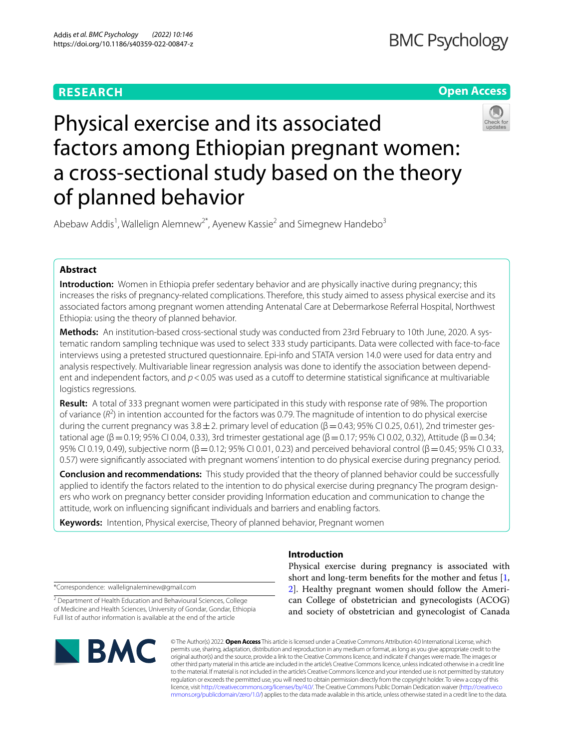## **RESEARCH**

## **Open Access**



# Physical exercise and its associated factors among Ethiopian pregnant women: a cross-sectional study based on the theory of planned behavior

Abebaw Addis<sup>1</sup>, Wallelign Alemnew<sup>2\*</sup>, Ayenew Kassie<sup>2</sup> and Simegnew Handebo<sup>3</sup>

## **Abstract**

**Introduction:** Women in Ethiopia prefer sedentary behavior and are physically inactive during pregnancy; this increases the risks of pregnancy-related complications. Therefore, this study aimed to assess physical exercise and its associated factors among pregnant women attending Antenatal Care at Debermarkose Referral Hospital, Northwest Ethiopia: using the theory of planned behavior.

**Methods:** An institution-based cross-sectional study was conducted from 23rd February to 10th June, 2020. A systematic random sampling technique was used to select 333 study participants. Data were collected with face-to-face interviews using a pretested structured questionnaire. Epi-info and STATA version 14.0 were used for data entry and analysis respectively. Multivariable linear regression analysis was done to identify the association between dependent and independent factors, and  $p < 0.05$  was used as a cutoff to determine statistical significance at multivariable logistics regressions.

**Result:** A total of 333 pregnant women were participated in this study with response rate of 98%. The proportion of variance  $(R^2)$  in intention accounted for the factors was 0.79. The magnitude of intention to do physical exercise during the current pregnancy was  $3.8\pm 2$ . primary level of education ( $\beta$  = 0.43; 95% CI 0.25, 0.61), 2nd trimester gestational age (β = 0.19; 95% CI 0.04, 0.33), 3rd trimester gestational age (β = 0.17; 95% CI 0.02, 0.32), Attitude (β = 0.34; 95% CI 0.19, 0.49), subjective norm ( $\beta$  = 0.12; 95% CI 0.01, 0.23) and perceived behavioral control ( $\beta$  = 0.45; 95% CI 0.33, 0.57) were signifcantly associated with pregnant womens' intention to do physical exercise during pregnancy period.

**Conclusion and recommendations:** This study provided that the theory of planned behavior could be successfully applied to identify the factors related to the intention to do physical exercise during pregnancy The program designers who work on pregnancy better consider providing Information education and communication to change the attitude, work on infuencing signifcant individuals and barriers and enabling factors.

**Keywords:** Intention, Physical exercise, Theory of planned behavior, Pregnant women

## **Introduction**

\*Correspondence: wallelignaleminew@gmail.com

<sup>2</sup> Department of Health Education and Behavioural Sciences, College of Medicine and Health Sciences, University of Gondar, Gondar, Ethiopia Full list of author information is available at the end of the article



Physical exercise during pregnancy is associated with short and long-term benefts for the mother and fetus [\[1](#page-7-0), [2\]](#page-7-1). Healthy pregnant women should follow the American College of obstetrician and gynecologists (ACOG) and society of obstetrician and gynecologist of Canada

© The Author(s) 2022. **Open Access** This article is licensed under a Creative Commons Attribution 4.0 International License, which permits use, sharing, adaptation, distribution and reproduction in any medium or format, as long as you give appropriate credit to the original author(s) and the source, provide a link to the Creative Commons licence, and indicate if changes were made. The images or other third party material in this article are included in the article's Creative Commons licence, unless indicated otherwise in a credit line to the material. If material is not included in the article's Creative Commons licence and your intended use is not permitted by statutory regulation or exceeds the permitted use, you will need to obtain permission directly from the copyright holder. To view a copy of this licence, visit [http://creativecommons.org/licenses/by/4.0/.](http://creativecommons.org/licenses/by/4.0/) The Creative Commons Public Domain Dedication waiver ([http://creativeco](http://creativecommons.org/publicdomain/zero/1.0/) [mmons.org/publicdomain/zero/1.0/](http://creativecommons.org/publicdomain/zero/1.0/)) applies to the data made available in this article, unless otherwise stated in a credit line to the data.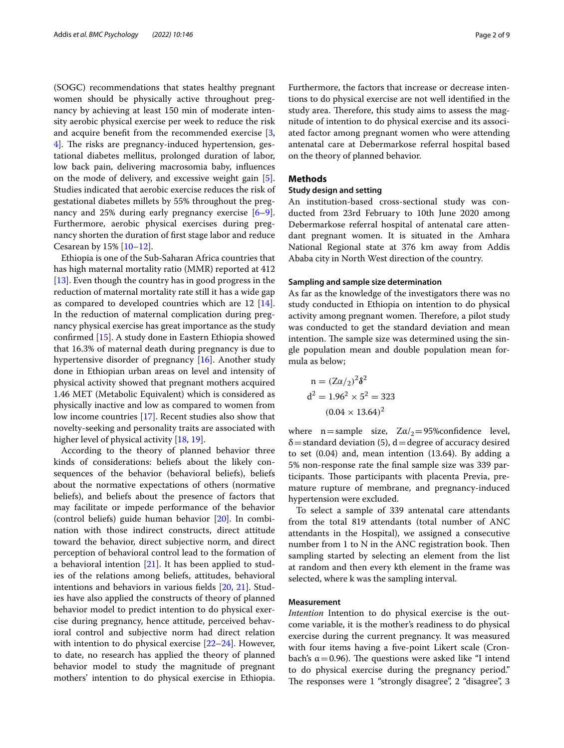(SOGC) recommendations that states healthy pregnant women should be physically active throughout pregnancy by achieving at least 150 min of moderate intensity aerobic physical exercise per week to reduce the risk and acquire beneft from the recommended exercise [\[3](#page-7-2), [4\]](#page-7-3). The risks are pregnancy-induced hypertension, gestational diabetes mellitus, prolonged duration of labor, low back pain, delivering macrosomia baby, infuences on the mode of delivery, and excessive weight gain [\[5](#page-7-4)]. Studies indicated that aerobic exercise reduces the risk of gestational diabetes millets by 55% throughout the pregnancy and 25% during early pregnancy exercise [\[6](#page-7-5)[–9](#page-7-6)]. Furthermore, aerobic physical exercises during pregnancy shorten the duration of frst stage labor and reduce Cesarean by 15% [[10–](#page-7-7)[12](#page-7-8)].

Ethiopia is one of the Sub-Saharan Africa countries that has high maternal mortality ratio (MMR) reported at 412 [[13\]](#page-7-9). Even though the country has in good progress in the reduction of maternal mortality rate still it has a wide gap as compared to developed countries which are 12 [\[14](#page-7-10)]. In the reduction of maternal complication during pregnancy physical exercise has great importance as the study confrmed [[15](#page-7-11)]. A study done in Eastern Ethiopia showed that 16.3% of maternal death during pregnancy is due to hypertensive disorder of pregnancy [[16](#page-7-12)]. Another study done in Ethiopian urban areas on level and intensity of physical activity showed that pregnant mothers acquired 1.46 MET (Metabolic Equivalent) which is considered as physically inactive and low as compared to women from low income countries [\[17](#page-7-13)]. Recent studies also show that novelty-seeking and personality traits are associated with higher level of physical activity [\[18](#page-7-14), [19\]](#page-7-15).

According to the theory of planned behavior three kinds of considerations: beliefs about the likely consequences of the behavior (behavioral beliefs), beliefs about the normative expectations of others (normative beliefs), and beliefs about the presence of factors that may facilitate or impede performance of the behavior (control beliefs) guide human behavior [\[20](#page-7-16)]. In combination with those indirect constructs, direct attitude toward the behavior, direct subjective norm, and direct perception of behavioral control lead to the formation of a behavioral intention [[21\]](#page-7-17). It has been applied to studies of the relations among beliefs, attitudes, behavioral intentions and behaviors in various felds [\[20](#page-7-16), [21\]](#page-7-17). Studies have also applied the constructs of theory of planned behavior model to predict intention to do physical exercise during pregnancy, hence attitude, perceived behavioral control and subjective norm had direct relation with intention to do physical exercise [\[22–](#page-7-18)[24\]](#page-7-19). However, to date, no research has applied the theory of planned behavior model to study the magnitude of pregnant mothers' intention to do physical exercise in Ethiopia.

Furthermore, the factors that increase or decrease intentions to do physical exercise are not well identifed in the study area. Therefore, this study aims to assess the magnitude of intention to do physical exercise and its associated factor among pregnant women who were attending antenatal care at Debermarkose referral hospital based on the theory of planned behavior.

#### **Methods**

#### **Study design and setting**

An institution-based cross-sectional study was conducted from 23rd February to 10th June 2020 among Debermarkose referral hospital of antenatal care attendant pregnant women. It is situated in the Amhara National Regional state at 376 km away from Addis Ababa city in North West direction of the country.

## **Sampling and sample size determination**

As far as the knowledge of the investigators there was no study conducted in Ethiopia on intention to do physical activity among pregnant women. Therefore, a pilot study was conducted to get the standard deviation and mean intention. The sample size was determined using the single population mean and double population mean formula as below;

$$
n = (Z\alpha/2)^{2}\delta^{2}
$$
  
\n
$$
d^{2} = 1.96^{2} \times 5^{2} = 323
$$
  
\n
$$
(0.04 \times 13.64)^{2}
$$

2<sub>o</sub>

where n=sample size,  $Z\alpha/\gamma = 95\%$ confidence level,  $\delta$  = standard deviation (5), d = degree of accuracy desired to set (0.04) and, mean intention (13.64). By adding a 5% non-response rate the fnal sample size was 339 participants. Those participants with placenta Previa, premature rupture of membrane, and pregnancy-induced hypertension were excluded.

To select a sample of 339 antenatal care attendants from the total 819 attendants (total number of ANC attendants in the Hospital), we assigned a consecutive number from  $1$  to  $N$  in the ANC registration book. Then sampling started by selecting an element from the list at random and then every kth element in the frame was selected, where k was the sampling interval.

#### **Measurement**

*Intention* Intention to do physical exercise is the outcome variable, it is the mother's readiness to do physical exercise during the current pregnancy. It was measured with four items having a fve-point Likert scale (Cronbach's  $\alpha$  = 0.96). The questions were asked like "I intend to do physical exercise during the pregnancy period." The responses were 1 "strongly disagree", 2 "disagree", 3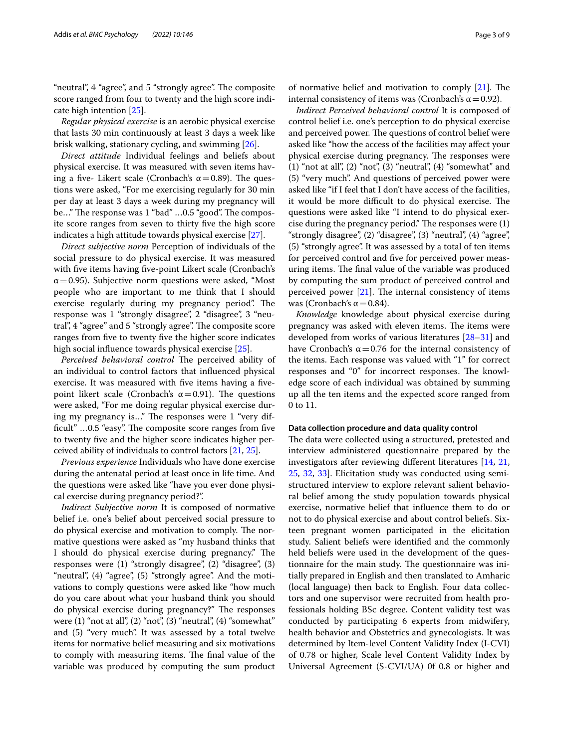"neutral", 4 "agree", and 5 "strongly agree". The composite score ranged from four to twenty and the high score indicate high intention [\[25\]](#page-7-20).

*Regular physical exercise* is an aerobic physical exercise that lasts 30 min continuously at least 3 days a week like brisk walking, stationary cycling, and swimming [[26\]](#page-7-21).

*Direct attitude* Individual feelings and beliefs about physical exercise. It was measured with seven items having a five- Likert scale (Cronbach's  $\alpha$  = 0.89). The questions were asked, "For me exercising regularly for 30 min per day at least 3 days a week during my pregnancy will be..." The response was 1 "bad" ...0.5 "good". The composite score ranges from seven to thirty fve the high score indicates a high attitude towards physical exercise [\[27\]](#page-7-22).

*Direct subjective norm* Perception of individuals of the social pressure to do physical exercise. It was measured with five items having five-point Likert scale (Cronbach's  $\alpha$  = 0.95). Subjective norm questions were asked, "Most" people who are important to me think that I should exercise regularly during my pregnancy period". The response was 1 "strongly disagree", 2 "disagree", 3 "neutral", 4 "agree" and 5 "strongly agree". The composite score ranges from fve to twenty fve the higher score indicates high social infuence towards physical exercise [\[25\]](#page-7-20).

Perceived behavioral control The perceived ability of an individual to control factors that infuenced physical exercise. It was measured with five items having a fivepoint likert scale (Cronbach's α=0.91). The questions were asked, "For me doing regular physical exercise during my pregnancy is..." The responses were 1 "very difficult" ...0.5 "easy". The composite score ranges from five to twenty fve and the higher score indicates higher perceived ability of individuals to control factors [[21](#page-7-17), [25\]](#page-7-20).

*Previous experience* Individuals who have done exercise during the antenatal period at least once in life time. And the questions were asked like "have you ever done physical exercise during pregnancy period?".

*Indirect Subjective norm* It is composed of normative belief i.e. one's belief about perceived social pressure to do physical exercise and motivation to comply. The normative questions were asked as "my husband thinks that I should do physical exercise during pregnancy." The responses were (1) "strongly disagree", (2) "disagree", (3) "neutral", (4) "agree", (5) "strongly agree". And the motivations to comply questions were asked like "how much do you care about what your husband think you should do physical exercise during pregnancy?" The responses were  $(1)$  "not at all",  $(2)$  "not",  $(3)$  "neutral",  $(4)$  "somewhat" and (5) "very much". It was assessed by a total twelve items for normative belief measuring and six motivations to comply with measuring items. The final value of the variable was produced by computing the sum product of normative belief and motivation to comply  $[21]$  $[21]$ . The internal consistency of items was (Cronbach's  $\alpha$  = 0.92).

*Indirect Perceived behavioral control* It is composed of control belief i.e. one's perception to do physical exercise and perceived power. The questions of control belief were asked like "how the access of the facilities may afect your physical exercise during pregnancy. The responses were (1) "not at all", (2) "not", (3) "neutral", (4) "somewhat" and (5) "very much". And questions of perceived power were asked like "if I feel that I don't have access of the facilities, it would be more difficult to do physical exercise. The questions were asked like "I intend to do physical exercise during the pregnancy period." The responses were  $(1)$ "strongly disagree", (2) "disagree", (3) "neutral", (4) "agree", (5) "strongly agree". It was assessed by a total of ten items for perceived control and fve for perceived power measuring items. The final value of the variable was produced by computing the sum product of perceived control and perceived power  $[21]$  $[21]$ . The internal consistency of items was (Cronbach's  $\alpha$  = 0.84).

*Knowledge* knowledge about physical exercise during pregnancy was asked with eleven items. The items were developed from works of various literatures [[28](#page-7-23)[–31](#page-7-24)] and have Cronbach's  $\alpha$  = 0.76 for the internal consistency of the items. Each response was valued with "1" for correct responses and "0" for incorrect responses. The knowledge score of each individual was obtained by summing up all the ten items and the expected score ranged from 0 to 11.

#### **Data collection procedure and data quality control**

The data were collected using a structured, pretested and interview administered questionnaire prepared by the investigators after reviewing diferent literatures [\[14](#page-7-10), [21](#page-7-17), [25,](#page-7-20) [32](#page-7-25), [33](#page-8-0)]. Elicitation study was conducted using semistructured interview to explore relevant salient behavioral belief among the study population towards physical exercise, normative belief that infuence them to do or not to do physical exercise and about control beliefs. Sixteen pregnant women participated in the elicitation study. Salient beliefs were identifed and the commonly held beliefs were used in the development of the questionnaire for the main study. The questionnaire was initially prepared in English and then translated to Amharic (local language) then back to English. Four data collectors and one supervisor were recruited from health professionals holding BSc degree. Content validity test was conducted by participating 6 experts from midwifery, health behavior and Obstetrics and gynecologists. It was determined by Item-level Content Validity Index (I-CVI) of 0.78 or higher, Scale level Content Validity Index by Universal Agreement (S-CVI/UA) 0f 0.8 or higher and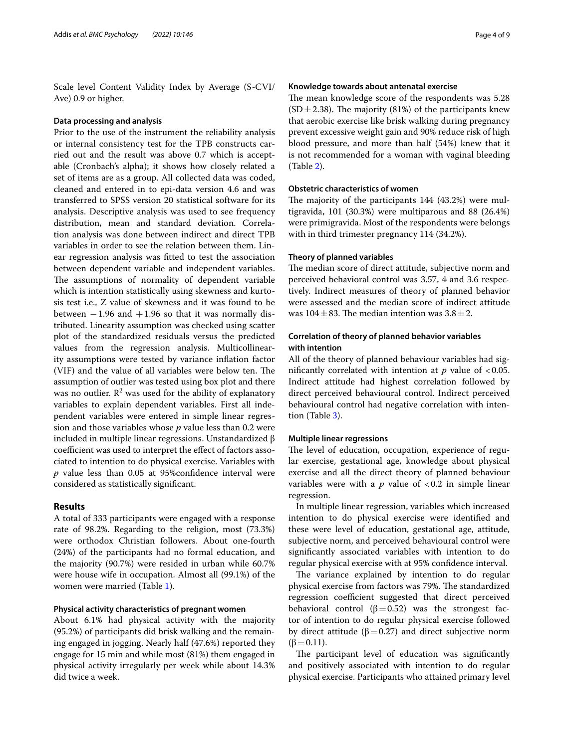Scale level Content Validity Index by Average (S-CVI/ Ave) 0.9 or higher.

#### **Data processing and analysis**

Prior to the use of the instrument the reliability analysis or internal consistency test for the TPB constructs carried out and the result was above 0.7 which is acceptable (Cronbach's alpha); it shows how closely related a set of items are as a group. All collected data was coded, cleaned and entered in to epi-data version 4.6 and was transferred to SPSS version 20 statistical software for its analysis. Descriptive analysis was used to see frequency distribution, mean and standard deviation. Correlation analysis was done between indirect and direct TPB variables in order to see the relation between them. Linear regression analysis was ftted to test the association between dependent variable and independent variables. The assumptions of normality of dependent variable which is intention statistically using skewness and kurtosis test i.e., Z value of skewness and it was found to be between  $-1.96$  and  $+1.96$  so that it was normally distributed. Linearity assumption was checked using scatter plot of the standardized residuals versus the predicted values from the regression analysis. Multicollinearity assumptions were tested by variance infation factor (VIF) and the value of all variables were below ten. The assumption of outlier was tested using box plot and there was no outlier.  $\mathbb{R}^2$  was used for the ability of explanatory variables to explain dependent variables. First all independent variables were entered in simple linear regression and those variables whose *p* value less than 0.2 were included in multiple linear regressions. Unstandardized β coefficient was used to interpret the effect of factors associated to intention to do physical exercise. Variables with *p* value less than 0.05 at 95%confdence interval were considered as statistically signifcant.

## **Results**

A total of 333 participants were engaged with a response rate of 98.2%. Regarding to the religion, most (73.3%) were orthodox Christian followers. About one-fourth (24%) of the participants had no formal education, and the majority (90.7%) were resided in urban while 60.7% were house wife in occupation. Almost all (99.1%) of the women were married (Table [1](#page-4-0)).

## **Physical activity characteristics of pregnant women**

About 6.1% had physical activity with the majority (95.2%) of participants did brisk walking and the remaining engaged in jogging. Nearly half (47.6%) reported they engage for 15 min and while most (81%) them engaged in physical activity irregularly per week while about 14.3% did twice a week.

#### **Knowledge towards about antenatal exercise**

The mean knowledge score of the respondents was 5.28  $(SD \pm 2.38)$ . The majority (81%) of the participants knew that aerobic exercise like brisk walking during pregnancy prevent excessive weight gain and 90% reduce risk of high blood pressure, and more than half (54%) knew that it is not recommended for a woman with vaginal bleeding (Table [2\)](#page-4-1).

## **Obstetric characteristics of women**

The majority of the participants  $144$  (43.2%) were multigravida, 101 (30.3%) were multiparous and 88 (26.4%) were primigravida. Most of the respondents were belongs with in third trimester pregnancy 114 (34.2%).

## **Theory of planned variables**

The median score of direct attitude, subjective norm and perceived behavioral control was 3.57, 4 and 3.6 respectively. Indirect measures of theory of planned behavior were assessed and the median score of indirect attitude was 104 $\pm$ 83. The median intention was 3.8 $\pm$ 2.

## **Correlation of theory of planned behavior variables with intention**

All of the theory of planned behaviour variables had significantly correlated with intention at  $p$  value of <0.05. Indirect attitude had highest correlation followed by direct perceived behavioural control. Indirect perceived behavioural control had negative correlation with intention (Table [3](#page-5-0)).

#### **Multiple linear regressions**

The level of education, occupation, experience of regular exercise, gestational age, knowledge about physical exercise and all the direct theory of planned behaviour variables were with a  $p$  value of  $< 0.2$  in simple linear regression.

In multiple linear regression, variables which increased intention to do physical exercise were identifed and these were level of education, gestational age, attitude, subjective norm, and perceived behavioural control were signifcantly associated variables with intention to do regular physical exercise with at 95% confdence interval.

The variance explained by intention to do regular physical exercise from factors was 79%. The standardized regression coefficient suggested that direct perceived behavioral control ( $\beta$ =0.52) was the strongest factor of intention to do regular physical exercise followed by direct attitude ( $β=0.27$ ) and direct subjective norm  $(\beta = 0.11)$ .

The participant level of education was significantly and positively associated with intention to do regular physical exercise. Participants who attained primary level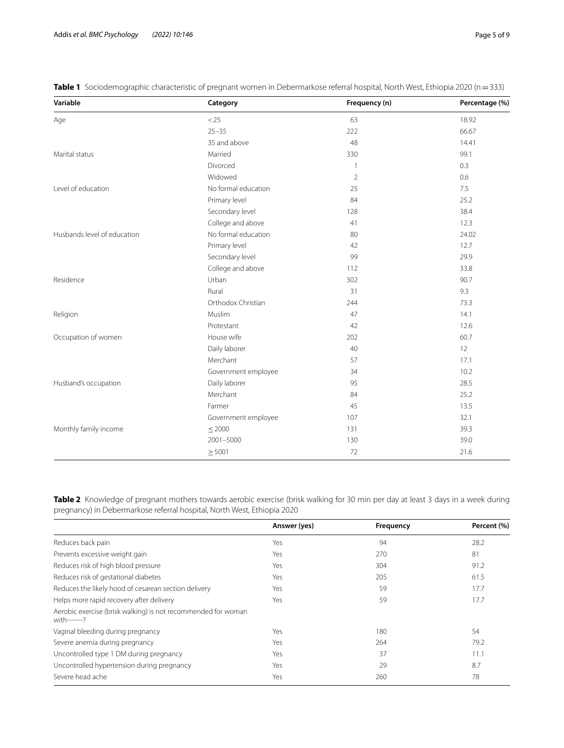| Variable                    | Category            | Frequency (n)  | Percentage (%) |
|-----------------------------|---------------------|----------------|----------------|
| Age                         | < 25                | 63             | 18.92          |
|                             | $25 - 35$           | 222            | 66.67          |
|                             | 35 and above        | 48             | 14.41          |
| Marital status              | Married             | 330            | 99.1           |
|                             | Divorced            | $\mathbf{1}$   | 0.3            |
|                             | Widowed             | $\overline{2}$ | 0.6            |
| Level of education          | No formal education | 25             | 7.5            |
|                             | Primary level       | 84             | 25.2           |
|                             | Secondary level     | 128            | 38.4           |
|                             | College and above   | 41             | 12.3           |
| Husbands level of education | No formal education | 80             | 24.02          |
|                             | Primary level       | 42             | 12.7           |
|                             | Secondary level     | 99             | 29.9           |
|                             | College and above   | 112            | 33.8           |
| Residence                   | Urban               | 302            | 90.7           |
|                             | Rural               | 31             | 9.3            |
|                             | Orthodox Christian  | 244            | 73.3           |
| Religion                    | Muslim              | 47             | 14.1           |
|                             | Protestant          | 42             | 12.6           |
| Occupation of women         | House wife          | 202            | 60.7           |
|                             | Daily laborer       | 40             | 12             |
|                             | Merchant            | 57             | 17.1           |
|                             | Government employee | 34             | 10.2           |
| Husband's occupation        | Daily laborer       | 95             | 28.5           |
|                             | Merchant            | 84             | 25.2           |
|                             | Farmer              | 45             | 13.5           |
|                             | Government employee | 107            | 32.1           |
| Monthly family income       | $\leq$ 2000         | 131            | 39.3           |
|                             | 2001-5000           | 130            | 39.0           |
|                             | $\geq 5001$         | 72             | 21.6           |

<span id="page-4-0"></span>**Table 1** Sociodemographic characteristic of pregnant women in Debermarkose referral hospital, North West, Ethiopia 2020 (n=333)

<span id="page-4-1"></span>**Table 2** Knowledge of pregnant mothers towards aerobic exercise (brisk walking for 30 min per day at least 3 days in a week during pregnancy) in Debermarkose referral hospital, North West, Ethiopia 2020

|                                                                               | Answer (yes) | Frequency | Percent (%) |
|-------------------------------------------------------------------------------|--------------|-----------|-------------|
| Reduces back pain                                                             | Yes          | 94        | 28.2        |
| Prevents excessive weight gain                                                | Yes          | 270       | 81          |
| Reduces risk of high blood pressure                                           | Yes          | 304       | 91.2        |
| Reduces risk of gestational diabetes                                          | Yes          | 205       | 61.5        |
| Reduces the likely hood of cesarean section delivery                          | Yes          | 59        | 17.7        |
| Helps more rapid recovery after delivery                                      | Yes          | 59        | 17.7        |
| Aerobic exercise (brisk walking) is not recommended for woman<br>with-------? |              |           |             |
| Vaginal bleeding during pregnancy                                             | Yes          | 180       | 54          |
| Severe anemia during pregnancy                                                | Yes          | 264       | 79.2        |
| Uncontrolled type 1 DM during pregnancy                                       | Yes          | 37        | 11.1        |
| Uncontrolled hypertension during pregnancy                                    | Yes          | 29        | 8.7         |
| Severe head ache                                                              | Yes          | 260       | 78          |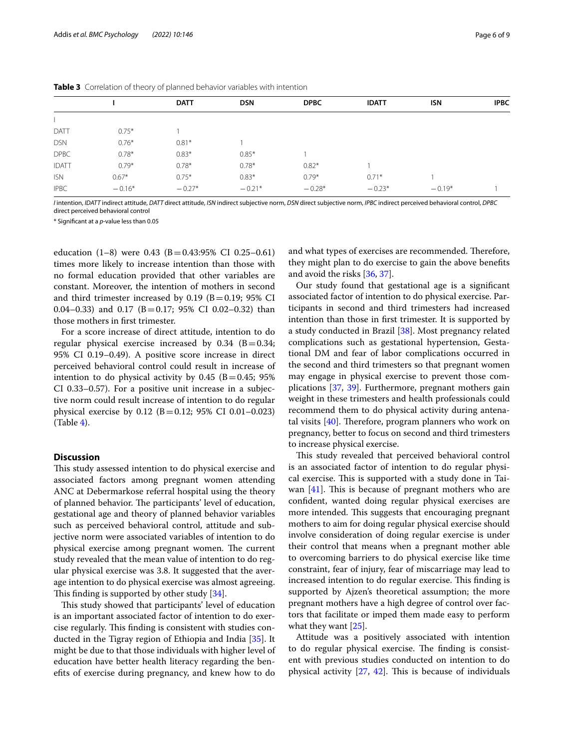|              |          | <b>DATT</b> | <b>DSN</b> | <b>DPBC</b> | <b>IDATT</b> | <b>ISN</b> | <b>IPBC</b> |
|--------------|----------|-------------|------------|-------------|--------------|------------|-------------|
|              |          |             |            |             |              |            |             |
| DATT         | $0.75*$  |             |            |             |              |            |             |
| <b>DSN</b>   | $0.76*$  | $0.81*$     |            |             |              |            |             |
| <b>DPBC</b>  | $0.78*$  | $0.83*$     | $0.85*$    |             |              |            |             |
| <b>IDATT</b> | $0.79*$  | $0.78*$     | $0.78*$    | $0.82*$     |              |            |             |
| <b>ISN</b>   | $0.67*$  | $0.75*$     | $0.83*$    | $0.79*$     | $0.71*$      |            |             |
| <b>IPBC</b>  | $-0.16*$ | $-0.27*$    | $-0.21*$   | $-0.28*$    | $-0.23*$     | $-0.19*$   |             |

<span id="page-5-0"></span>**Table 3** Correlation of theory of planned behavior variables with intention

*I* intention, *IDATT* indirect attitude, *DATT* direct attitude, *ISN* indirect subjective norm, *DSN* direct subjective norm, *IPBC* indirect perceived behavioral control, *DPBC* direct perceived behavioral control

\* Signifcant at a *p*-value less than 0.05

education (1–8) were 0.43 (B=0.43:95% CI 0.25–0.61) times more likely to increase intention than those with no formal education provided that other variables are constant. Moreover, the intention of mothers in second and third trimester increased by  $0.19$  (B=0.19; 95% CI 0.04–0.33) and 0.17 ( $B = 0.17$ ; 95% CI 0.02–0.32) than those mothers in frst trimester.

For a score increase of direct attitude, intention to do regular physical exercise increased by  $0.34$  (B  $= 0.34$ ; 95% CI 0.19–0.49). A positive score increase in direct perceived behavioral control could result in increase of intention to do physical activity by  $0.45$  (B = 0.45; 95%) CI 0.33–0.57). For a positive unit increase in a subjective norm could result increase of intention to do regular physical exercise by 0.12 (B=0.12; 95% CI 0.01–0.023)  $(Table 4)$  $(Table 4)$  $(Table 4)$ .

## **Discussion**

This study assessed intention to do physical exercise and associated factors among pregnant women attending ANC at Debermarkose referral hospital using the theory of planned behavior. The participants' level of education, gestational age and theory of planned behavior variables such as perceived behavioral control, attitude and subjective norm were associated variables of intention to do physical exercise among pregnant women. The current study revealed that the mean value of intention to do regular physical exercise was 3.8. It suggested that the average intention to do physical exercise was almost agreeing. This finding is supported by other study  $[34]$  $[34]$ .

This study showed that participants' level of education is an important associated factor of intention to do exercise regularly. This finding is consistent with studies conducted in the Tigray region of Ethiopia and India [\[35\]](#page-8-2). It might be due to that those individuals with higher level of education have better health literacy regarding the benefts of exercise during pregnancy, and knew how to do and what types of exercises are recommended. Therefore, they might plan to do exercise to gain the above benefts and avoid the risks [\[36](#page-8-3), [37\]](#page-8-4).

Our study found that gestational age is a signifcant associated factor of intention to do physical exercise. Participants in second and third trimesters had increased intention than those in frst trimester. It is supported by a study conducted in Brazil [[38\]](#page-8-5). Most pregnancy related complications such as gestational hypertension, Gestational DM and fear of labor complications occurred in the second and third trimesters so that pregnant women may engage in physical exercise to prevent those complications [\[37,](#page-8-4) [39](#page-8-6)]. Furthermore, pregnant mothers gain weight in these trimesters and health professionals could recommend them to do physical activity during antenatal visits  $[40]$  $[40]$ . Therefore, program planners who work on pregnancy, better to focus on second and third trimesters to increase physical exercise.

This study revealed that perceived behavioral control is an associated factor of intention to do regular physical exercise. This is supported with a study done in Taiwan  $[41]$  $[41]$  $[41]$ . This is because of pregnant mothers who are confdent, wanted doing regular physical exercises are more intended. This suggests that encouraging pregnant mothers to aim for doing regular physical exercise should involve consideration of doing regular exercise is under their control that means when a pregnant mother able to overcoming barriers to do physical exercise like time constraint, fear of injury, fear of miscarriage may lead to increased intention to do regular exercise. This finding is supported by Ajzen's theoretical assumption; the more pregnant mothers have a high degree of control over factors that facilitate or imped them made easy to perform what they want [[25](#page-7-20)].

Attitude was a positively associated with intention to do regular physical exercise. The finding is consistent with previous studies conducted on intention to do physical activity  $[27, 42]$  $[27, 42]$  $[27, 42]$  $[27, 42]$  $[27, 42]$ . This is because of individuals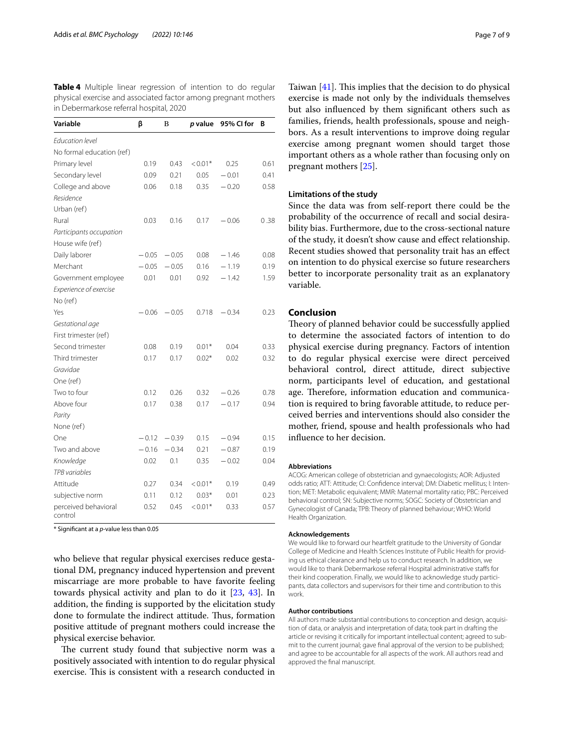<span id="page-6-0"></span>**Table 4** Multiple linear regression of intention to do regular physical exercise and associated factor among pregnant mothers in Debermarkose referral hospital, 2020

| Variable                        | β       | B       | <i>p</i> value | 95% CI for | В    |
|---------------------------------|---------|---------|----------------|------------|------|
| <b>Education level</b>          |         |         |                |            |      |
| No formal education (ref)       |         |         |                |            |      |
| Primary level                   | 0.19    | 0.43    | $< 0.01*$      | 0.25       | 0.61 |
| Secondary level                 | 0.09    | 0.21    | 0.05           | $-0.01$    | 0.41 |
| College and above               | 0.06    | 0.18    | 0.35           | $-0.20$    | 0.58 |
| Residence                       |         |         |                |            |      |
| Urban (ref)                     |         |         |                |            |      |
| Rural                           | 0.03    | 0.16    | 0.17           | $-0.06$    | 0.38 |
| Participants occupation         |         |         |                |            |      |
| House wife (ref)                |         |         |                |            |      |
| Daily laborer                   | $-0.05$ | $-0.05$ | 0.08           | $-1.46$    | 0.08 |
| Merchant                        | $-0.05$ | $-0.05$ | 0.16           | $-1.19$    | 0.19 |
| Government employee             | 0.01    | 0.01    | 0.92           | $-1.42$    | 1.59 |
| Experience of exercise          |         |         |                |            |      |
| No (ref)                        |         |         |                |            |      |
| Yes                             | $-0.06$ | $-0.05$ | 0.718          | $-0.34$    | 0.23 |
| Gestational age                 |         |         |                |            |      |
| First trimester (ref)           |         |         |                |            |      |
| Second trimester                | 0.08    | 0.19    | $0.01*$        | 0.04       | 0.33 |
| Third trimester                 | 0.17    | 0.17    | $0.02*$        | 0.02       | 0.32 |
| Gravidae                        |         |         |                |            |      |
| One (ref)                       |         |         |                |            |      |
| Two to four                     | 0.12    | 0.26    | 0.32           | $-0.26$    | 0.78 |
| Above four                      | 0.17    | 0.38    | 0.17           | $-0.17$    | 0.94 |
| Parity                          |         |         |                |            |      |
| None (ref)                      |         |         |                |            |      |
| One                             | $-0.12$ | $-0.39$ | 0.15           | $-0.94$    | 0.15 |
| Two and above                   | $-0.16$ | $-0.34$ | 0.21           | $-0.87$    | 0.19 |
| Knowledge                       | 0.02    | 0.1     | 0.35           | $-0.02$    | 0.04 |
| TPB variables                   |         |         |                |            |      |
| Attitude                        | 0.27    | 0.34    | $< 0.01*$      | 0.19       | 0.49 |
| subjective norm                 | 0.11    | 0.12    | $0.03*$        | 0.01       | 0.23 |
| perceived behavioral<br>control | 0.52    | 0.45    | $< 0.01*$      | 0.33       | 0.57 |

\* Signifcant at a *p*-value less than 0.05

who believe that regular physical exercises reduce gestational DM, pregnancy induced hypertension and prevent miscarriage are more probable to have favorite feeling towards physical activity and plan to do it [\[23](#page-7-26), [43](#page-8-10)]. In addition, the fnding is supported by the elicitation study done to formulate the indirect attitude. Thus, formation positive attitude of pregnant mothers could increase the physical exercise behavior.

The current study found that subjective norm was a positively associated with intention to do regular physical exercise. This is consistent with a research conducted in Taiwan  $[41]$  $[41]$ . This implies that the decision to do physical exercise is made not only by the individuals themselves but also infuenced by them signifcant others such as families, friends, health professionals, spouse and neighbors. As a result interventions to improve doing regular exercise among pregnant women should target those important others as a whole rather than focusing only on pregnant mothers [\[25](#page-7-20)].

#### **Limitations of the study**

Since the data was from self-report there could be the probability of the occurrence of recall and social desirability bias. Furthermore, due to the cross-sectional nature of the study, it doesn't show cause and efect relationship. Recent studies showed that personality trait has an efect on intention to do physical exercise so future researchers better to incorporate personality trait as an explanatory variable.

## **Conclusion**

Theory of planned behavior could be successfully applied to determine the associated factors of intention to do physical exercise during pregnancy. Factors of intention to do regular physical exercise were direct perceived behavioral control, direct attitude, direct subjective norm, participants level of education, and gestational age. Therefore, information education and communication is required to bring favorable attitude, to reduce perceived berries and interventions should also consider the mother, friend, spouse and health professionals who had infuence to her decision.

#### **Abbreviations**

ACOG: American college of obstetrician and gynaecologists; AOR: Adjusted odds ratio; ATT: Attitude; CI: Confdence interval; DM: Diabetic mellitus; I: Intention; MET: Metabolic equivalent; MMR: Maternal mortality ratio; PBC: Perceived behavioral control; SN: Subjective norms; SOGC: Society of Obstetrician and Gynecologist of Canada; TPB: Theory of planned behaviour; WHO: World Health Organization.

#### **Acknowledgements**

We would like to forward our heartfelt gratitude to the University of Gondar College of Medicine and Health Sciences Institute of Public Health for providing us ethical clearance and help us to conduct research. In addition, we would like to thank Debermarkose referral Hospital administrative stafs for their kind cooperation. Finally, we would like to acknowledge study participants, data collectors and supervisors for their time and contribution to this work.

#### **Author contributions**

All authors made substantial contributions to conception and design, acquisition of data, or analysis and interpretation of data; took part in drafting the article or revising it critically for important intellectual content; agreed to submit to the current journal; gave fnal approval of the version to be published; and agree to be accountable for all aspects of the work. All authors read and approved the fnal manuscript.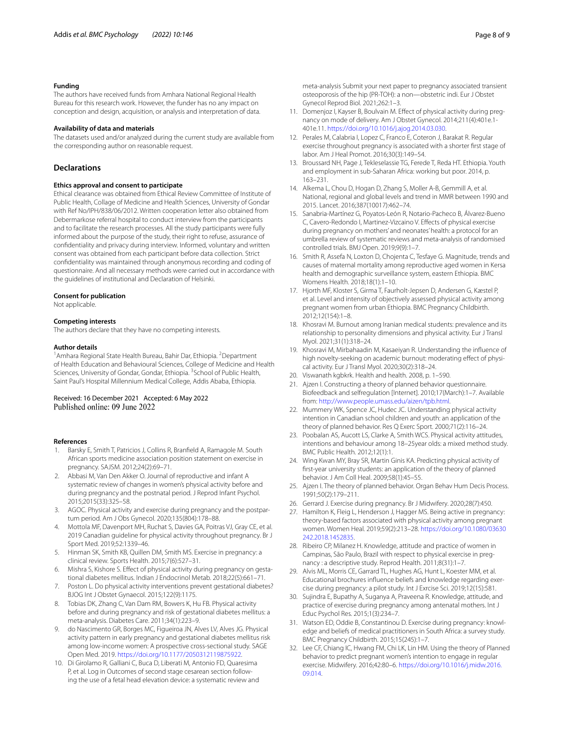#### **Funding**

The authors have received funds from Amhara National Regional Health Bureau for this research work. However, the funder has no any impact on conception and design, acquisition, or analysis and interpretation of data.

#### **Availability of data and materials**

The datasets used and/or analyzed during the current study are available from the corresponding author on reasonable request.

#### **Declarations**

#### **Ethics approval and consent to participate**

Ethical clearance was obtained from Ethical Review Committee of Institute of Public Health, Collage of Medicine and Health Sciences, University of Gondar with Ref No/IPH/838/06/2012. Written cooperation letter also obtained from Debermarkose referral hospital to conduct interview from the participants and to facilitate the research processes. All the study participants were fully informed about the purpose of the study, their right to refuse, assurance of confdentiality and privacy during interview. Informed, voluntary and written consent was obtained from each participant before data collection. Strict confdentiality was maintained through anonymous recording and coding of questionnaire. And all necessary methods were carried out in accordance with the guidelines of institutional and Declaration of Helsinki.

#### **Consent for publication**

Not applicable.

#### **Competing interests**

The authors declare that they have no competing interests.

#### **Author details**

<sup>1</sup> Amhara Regional State Health Bureau, Bahir Dar, Ethiopia. <sup>2</sup> Department of Health Education and Behavioural Sciences, College of Medicine and Health Sciences, University of Gondar, Gondar, Ethiopia. <sup>3</sup> School of Public Health, Saint Paul's Hospital Millennium Medical College, Addis Ababa, Ethiopia.

## Received: 16 December 2021 Accepted: 6 May 2022

#### **References**

- <span id="page-7-0"></span>1. Barsky E, Smith T, Patricios J, Collins R, Branfeld A, Ramagole M. South African sports medicine association position statement on exercise in pregnancy. SAJSM. 2012;24(2):69–71.
- <span id="page-7-1"></span>2. Abbasi M, Van Den Akker O. Journal of reproductive and infant A systematic review of changes in women's physical activity before and during pregnancy and the postnatal period. J Reprod Infant Psychol. 2015;2015(33):325–58.
- <span id="page-7-2"></span>3. AGOC. Physical activity and exercise during pregnancy and the postpartum period. Am J Obs Gynecol. 2020;135(804):178–88.
- <span id="page-7-3"></span>4. Mottola MF, Davenport MH, Ruchat S, Davies GA, Poitras VJ, Gray CE, et al. 2019 Canadian guideline for physical activity throughout pregnancy. Br J Sport Med. 2019;52:1339–46.
- <span id="page-7-4"></span>5. Hinman SK, Smith KB, Quillen DM, Smith MS. Exercise in pregnancy: a clinical review. Sports Health. 2015;7(6):527–31.
- <span id="page-7-5"></span>6. Mishra S, Kishore S. Efect of physical activity during pregnancy on gestational diabetes mellitus. Indian J Endocrinol Metab. 2018;22(5):661–71.
- 7. Poston L. Do physical activity interventions prevent gestational diabetes? BJOG Int J Obstet Gynaecol. 2015;122(9):1175.
- 8. Tobias DK, Zhang C, Van Dam RM, Bowers K, Hu FB. Physical activity before and during pregnancy and risk of gestational diabetes mellitus: a meta-analysis. Diabetes Care. 2011;34(1):223–9.
- <span id="page-7-6"></span>9. do Nascimento GR, Borges MC, Figueiroa JN, Alves LV, Alves JG. Physical activity pattern in early pregnancy and gestational diabetes mellitus risk among low-income women: A prospective cross-sectional study. SAGE Open Med. 2019. [https://doi.org/10.1177/2050312119875922.](https://doi.org/10.1177/2050312119875922)
- <span id="page-7-7"></span>10. Di Girolamo R, Galliani C, Buca D, Liberati M, Antonio FD, Quaresima P, et al. Log in Outcomes of second stage cesarean section following the use of a fetal head elevation device: a systematic review and

meta-analysis Submit your next paper to pregnancy associated transient osteoporosis of the hip (PR-TOH): a non—obstetric indi. Eur J Obstet Gynecol Reprod Biol. 2021;262:1–3.

- 11. Domenjoz I, Kayser B, Boulvain M. Efect of physical activity during pregnancy on mode of delivery. Am J Obstet Gynecol. 2014;211(4):401e.1- 401e.11. <https://doi.org/10.1016/j.ajog.2014.03.030>.
- <span id="page-7-8"></span>12. Perales M, Calabria I, Lopez C, Franco E, Coteron J, Barakat R. Regular exercise throughout pregnancy is associated with a shorter frst stage of labor. Am J Heal Promot. 2016;30(3):149–54.
- <span id="page-7-9"></span>13. Broussard NH, Page J, Tekleselassie TG, Ferede T, Reda HT. Ethiopia. Youth and employment in sub-Saharan Africa: working but poor. 2014, p. 163–231.
- <span id="page-7-10"></span>14. Alkema L, Chou D, Hogan D, Zhang S, Moller A-B, Gemmill A, et al. National, regional and global levels and trend in MMR between 1990 and 2015. Lancet. 2016;387(10017):462–74.
- <span id="page-7-11"></span>15. Sanabria-Martínez G, Poyatos-León R, Notario-Pacheco B, Álvarez-Bueno C, Cavero-Redondo I, Martinez-Vizcaino V. Efects of physical exercise during pregnancy on mothers' and neonates' health: a protocol for an umbrella review of systematic reviews and meta-analysis of randomised controlled trials. BMJ Open. 2019;9(9):1–7.
- <span id="page-7-12"></span>16. Smith R, Assefa N, Loxton D, Chojenta C, Tesfaye G. Magnitude, trends and causes of maternal mortality among reproductive aged women in Kersa health and demographic surveillance system, eastern Ethiopia. BMC Womens Health. 2018;18(1):1–10.
- <span id="page-7-13"></span>17. Hjorth MF, Kloster S, Girma T, Faurholt-Jepsen D, Andersen G, Kæstel P, et al. Level and intensity of objectively assessed physical activity among pregnant women from urban Ethiopia. BMC Pregnancy Childbirth. 2012;12(154):1–8.
- <span id="page-7-14"></span>18. Khosravi M. Burnout among Iranian medical students: prevalence and its relationship to personality dimensions and physical activity. Eur J Transl Myol. 2021;31(1):318–24.
- <span id="page-7-15"></span>19. Khosravi M, Mirbahaadin M, Kasaeiyan R. Understanding the infuence of high novelty-seeking on academic burnout: moderating effect of physical activity. Eur J Transl Myol. 2020;30(2):318–24.
- <span id="page-7-16"></span>20. Viswanath kgbkrk. Health and health. 2008, p. 1–590.
- <span id="page-7-17"></span>21. Ajzen I. Constructing a theory of planned behavior questionnaire. Biofeedback and selfregulation [Internet]. 2010;17(March):1–7. Available from: [http://www.people.umass.edu/aizen/tpb.html.](http://www.people.umass.edu/aizen/tpb.html)
- <span id="page-7-18"></span>22. Mummery WK, Spence JC, Hudec JC. Understanding physical activity intention in Canadian school children and youth: an application of the theory of planned behavior. Res Q Exerc Sport. 2000;71(2):116–24.
- <span id="page-7-26"></span>23. Poobalan AS, Aucott LS, Clarke A, Smith WCS. Physical activity attitudes, intentions and behaviour among 18–25year olds: a mixed method study. BMC Public Health. 2012;12(1):1.
- <span id="page-7-19"></span>24. Wing Kwan MY, Bray SR, Martin Ginis KA. Predicting physical activity of frst-year university students: an application of the theory of planned behavior. J Am Coll Heal. 2009;58(1):45–55.
- <span id="page-7-20"></span>25. Ajzen I. The theory of planned behavior. Organ Behav Hum Decis Process. 1991;50(2):179–211.
- <span id="page-7-21"></span>26. Gerrard J. Exercise during pregnancy. Br J Midwifery. 2020;28(7):450.
- <span id="page-7-22"></span>27. Hamilton K, Fleig L, Henderson J, Hagger MS. Being active in pregnancy: theory-based factors associated with physical activity among pregnant women. Women Heal. 2019;59(2):213–28. [https://doi.org/10.1080/03630](https://doi.org/10.1080/03630242.2018.1452835) [242.2018.1452835.](https://doi.org/10.1080/03630242.2018.1452835)
- <span id="page-7-23"></span>28. Ribeiro CP, Milanez H. Knowledge, attitude and practice of women in Campinas, São Paulo, Brazil with respect to physical exercise in pregnancy : a descriptive study. Reprod Health. 2011;8(31):1–7.
- 29. Alvis ML, Morris CE, Garrard TL, Hughes AG, Hunt L, Koester MM, et al. Educational brochures infuence beliefs and knowledge regarding exercise during pregnancy: a pilot study. Int J Exrcise Sci. 2019;12(15):581.
- 30. Sujindra E, Bupathy A, Suganya A, Praveena R. Knowledge, attitude, and practice of exercise during pregnancy among antenatal mothers. Int J Educ Psychol Res. 2015;1(3):234–7.
- <span id="page-7-24"></span>31. Watson ED, Oddie B, Constantinou D. Exercise during pregnancy: knowledge and beliefs of medical practitioners in South Africa: a survey study. BMC Pregnancy Childbirth. 2015;15(245):1–7.
- <span id="page-7-25"></span>32. Lee CF, Chiang IC, Hwang FM, Chi LK, Lin HM. Using the theory of Planned behavior to predict pregnant women's intention to engage in regular exercise. Midwifery. 2016;42:80–6. [https://doi.org/10.1016/j.midw.2016.](https://doi.org/10.1016/j.midw.2016.09.014) [09.014](https://doi.org/10.1016/j.midw.2016.09.014).